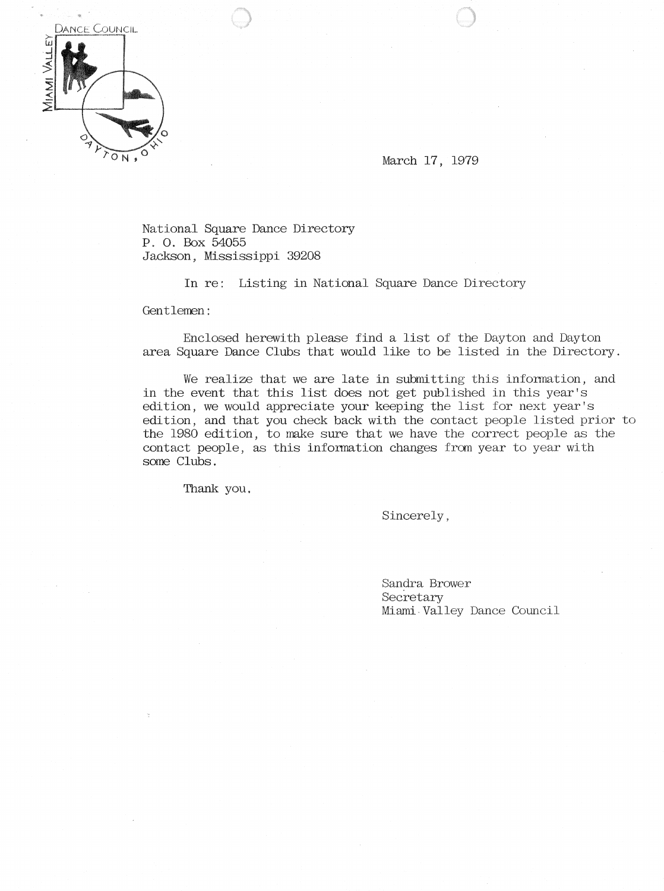

March 17, 1979

National Square Dance Directory P. O. Box 54055 Jackson, Mississippi 39208

In re: Listing in National Square Dance Directory

Gentlemen:

Enclosed herewith please find a list of the Dayton and Dayton area Square Dance Clubs that would like to be listed in the Directory.

We realize that we are late in submitting this information, and in the event that this list does not get published in this year's edition, we would appreciate your keeping the list for next year's edition, and that you check back with the contact people listed prior to the 1980 edition, to make sure that we have the correct people as the contact people, as this information changes from year to year with some Clubs.

Thank you.

Sincerely,

Sandra Brower Secretary Miami Valley Dance Council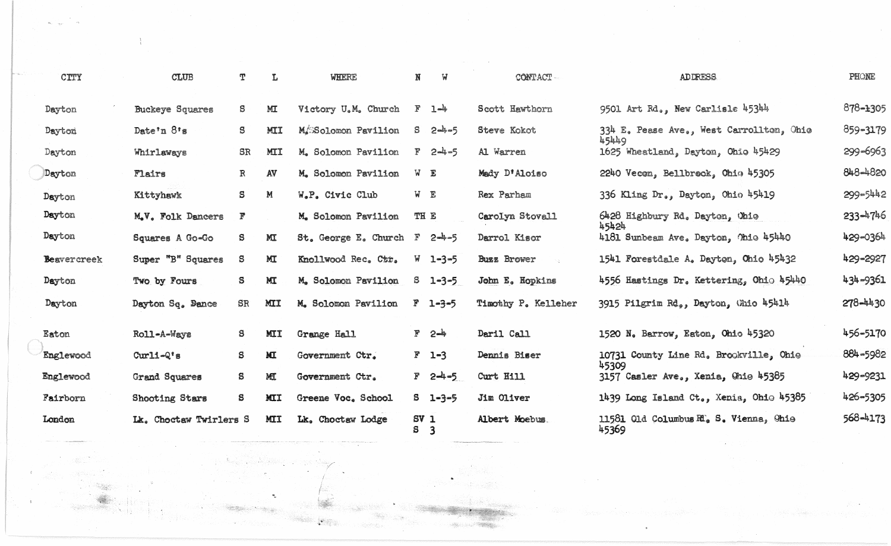|           | CITY               | <b>CLUB</b>            | T            | L            | WHERE                | $\mathbf{N}$ | W               | CONTACT-            | <b>ADDRESS</b>                                  | PHONE   |
|-----------|--------------------|------------------------|--------------|--------------|----------------------|--------------|-----------------|---------------------|-------------------------------------------------|---------|
| Dayton    |                    | <b>Buckeye Squares</b> | S            | M            | Victory U.M. Church  | $\mathbb{F}$ | $1 - 4$         | Scott Hawthorn      | 9501 Art Rd., New Carlisle 45344                | 878-130 |
| Dayton    |                    | Date'n 8's             | S.           | <b>MII</b>   | M/SSolomon Pavilion  |              | $S = 2 - 5$     | Steve Kokot         | 334 E. Pease Ave., West Carrollton, Ohio        | 859-317 |
| Dayton    |                    | Whirlaways             | SR           | MII          | M. Solomon Pavilion  |              | $F = 2-4-5$     | Al Warren           | 45449<br>1625 Wheatland, Dayton, Ohio 45429     | 299-696 |
| Dayton    |                    | Flairs                 | $\mathbb{R}$ | AV           | M. Solomon Pavilion  |              | W E             | Medy D'Aloiso       | 2240 Vecon, Bellbrook, Ohio 45305               | 848-482 |
| Dayton    |                    | Kittyhawk              | S            | M            | W.P. Civic Club      |              | $W$ E           | Rex Parham          | 336 Kling Dr., Dayton, Ohio 45419               | 299-544 |
| Dayton    |                    | M.V. Folk Dancers      | F            |              | M. Solomon Pavilion  | TH E         |                 | Carolyn Stovall     | 6428 Highbury Rd. Dayton, Ohio                  | 233-474 |
| Dayton    |                    | Squares A Go-Go        | S            | $\mathbf{M}$ | St. George E. Church | $\mathbf{F}$ | $2 - 5$         | Darrol Kisor        | 45424<br>4181 Sunbeam Ave. Dayton, Ohio 45440   | 429-036 |
|           | <b>Beavercreek</b> | Super "B" Squares      | S            | МI           | Knollwood Rec. Ctr.  |              | $W = 1 - 3 - 5$ | <b>Buzz Brower</b>  | 1541 Forestdale A. Dayton, Chio 45432           | 429-292 |
| Dayton    |                    | Two by Fours           | S.           | MT           | M. Solomon Pavilion  |              | $3 - 1 - 3 - 5$ | John E. Hopkins     | 4556 Hastings Dr. Kettering, Ohio 45440         | 434-936 |
| Dayton    |                    | Dayton Sq. Dance       | <b>SR</b>    | MII          | M. Solomon Pavilion  |              | $F = 1 - 3 - 5$ | Timothy P. Kelleher | 3915 Pilgrim Rd., Dayton, Ghio 45414            | 278-443 |
| Eaton     |                    | Roll-A-Ways            | S.           | <b>MII</b>   | Grange Hall          |              | $F = 2 - 4$     | Daril Call          | 1520 N. Barrow, Eaton, Ohio 45320               | 456-517 |
| Englewood |                    | $Curl-Q's$             | S            | МI           | Government Ctr.      |              | $F = 1 - 3$     | Dennis Biser        | 10731 County Line Rd. Brookville, Ohio          | 884-598 |
| Englewood |                    | Grand Squares          | S            | MI           | Government Ctr.      |              | $F = 2 - 4 - 5$ | Curt Hill           | 45309<br>3157 Casler Ave., Xenia, Chie 45385    | 429-923 |
| Fairborn  |                    | <b>Shooting Stars</b>  | S            | <b>MII</b>   | Greene Voc. School   |              | $S = 1 - 3 - 5$ | Jim Oliver          | 1439 Long Island Ct., Xenia, Ohio 45385         | 426-530 |
| London    |                    | Lk. Choctaw Twirlers S |              | <b>MII</b>   | Lk. Choctaw Lodge    | $SV_1$<br>S  | 3               | Albert Moebus.      | 11581 Old Columbus R., S. Vienna, Ohio<br>45369 | 568-417 |

 $\frac{3}{4}$  .

 $\mathcal{R}^{\text{max}}$